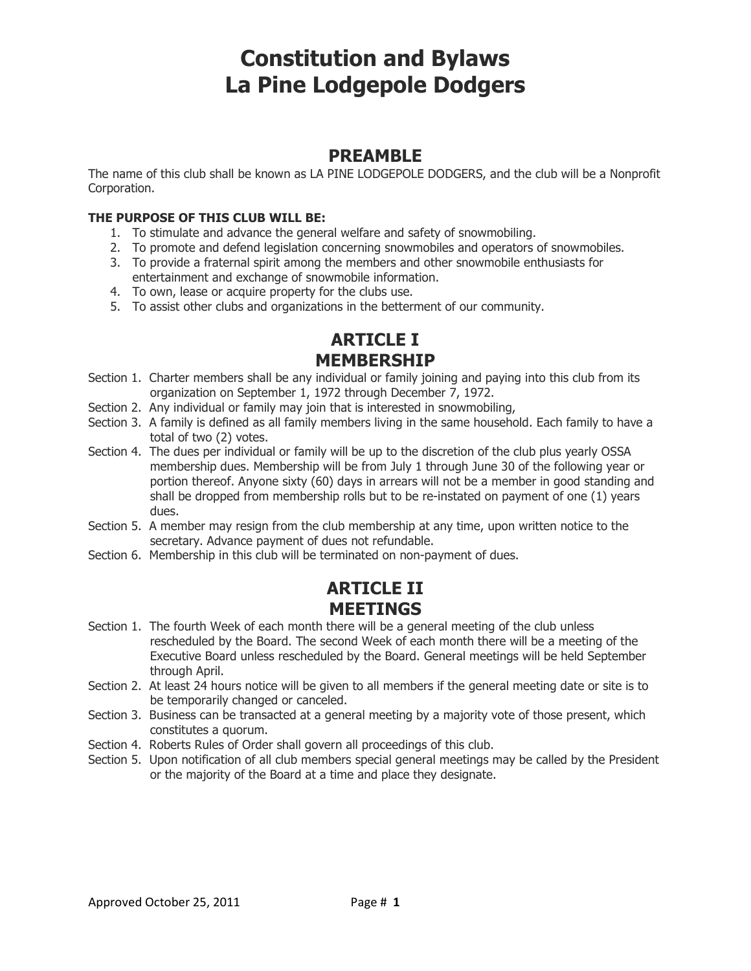# Constitution and Bylaws La Pine Lodgepole Dodgers

## PREAMBLE

The name of this club shall be known as LA PINE LODGEPOLE DODGERS, and the club will be a Nonprofit Corporation.

### THE PURPOSE OF THIS CLUB WILL BE:

- 1. To stimulate and advance the general welfare and safety of snowmobiling.
- 2. To promote and defend legislation concerning snowmobiles and operators of snowmobiles.
- 3. To provide a fraternal spirit among the members and other snowmobile enthusiasts for entertainment and exchange of snowmobile information.
- 4. To own, lease or acquire property for the clubs use.
- 5. To assist other clubs and organizations in the betterment of our community.

# ARTICLE I MEMBERSHIP

- Section 1. Charter members shall be any individual or family joining and paying into this club from its organization on September 1, 1972 through December 7, 1972.
- Section 2. Any individual or family may join that is interested in snowmobiling,
- Section 3. A family is defined as all family members living in the same household. Each family to have a total of two (2) votes.
- Section 4. The dues per individual or family will be up to the discretion of the club plus yearly OSSA membership dues. Membership will be from July 1 through June 30 of the following year or portion thereof. Anyone sixty (60) days in arrears will not be a member in good standing and shall be dropped from membership rolls but to be re-instated on payment of one (1) years dues.
- Section 5. A member may resign from the club membership at any time, upon written notice to the secretary. Advance payment of dues not refundable.
- Section 6. Membership in this club will be terminated on non-payment of dues.

## ARTICLE II **MEETINGS**

- Section 1. The fourth Week of each month there will be a general meeting of the club unless rescheduled by the Board. The second Week of each month there will be a meeting of the Executive Board unless rescheduled by the Board. General meetings will be held September through April.
- Section 2. At least 24 hours notice will be given to all members if the general meeting date or site is to be temporarily changed or canceled.
- Section 3. Business can be transacted at a general meeting by a majority vote of those present, which constitutes a quorum.
- Section 4. Roberts Rules of Order shall govern all proceedings of this club.
- Section 5. Upon notification of all club members special general meetings may be called by the President or the majority of the Board at a time and place they designate.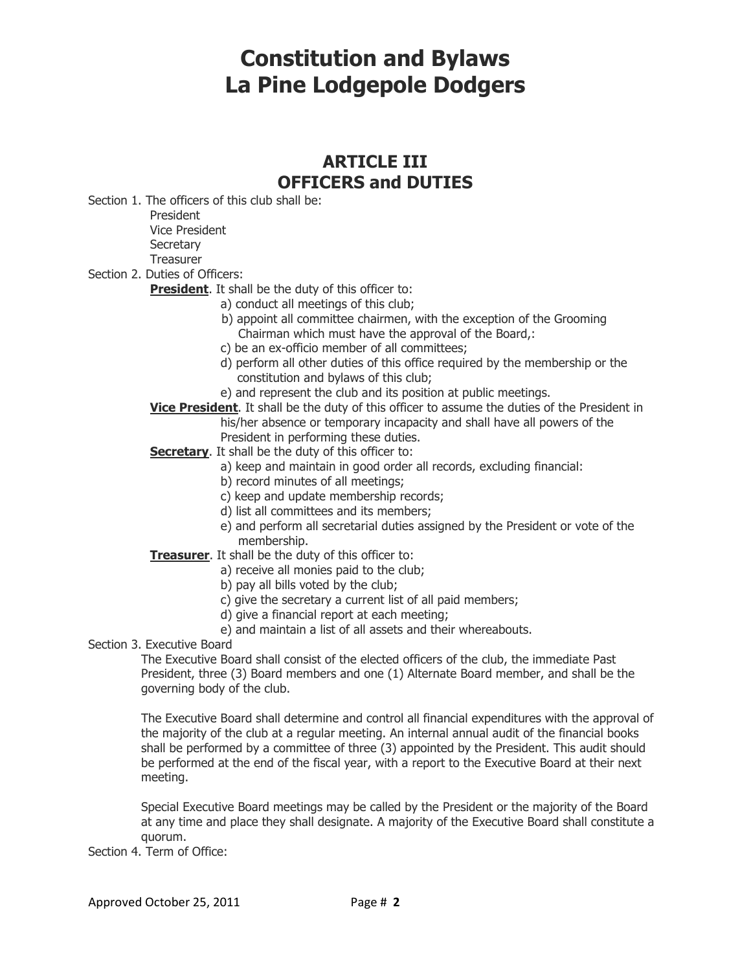# Constitution and Bylaws La Pine Lodgepole Dodgers

## ARTICLE III OFFICERS and DUTIES

Section 1. The officers of this club shall be:

President

Vice President

**Secretary** 

Treasurer

Section 2. Duties of Officers:

**President.** It shall be the duty of this officer to:

- a) conduct all meetings of this club;
- b) appoint all committee chairmen, with the exception of the Grooming Chairman which must have the approval of the Board,:
- c) be an ex-officio member of all committees;
- d) perform all other duties of this office required by the membership or the constitution and bylaws of this club;
- e) and represent the club and its position at public meetings.
- **Vice President.** It shall be the duty of this officer to assume the duties of the President in his/her absence or temporary incapacity and shall have all powers of the President in performing these duties.

Secretary. It shall be the duty of this officer to:

- a) keep and maintain in good order all records, excluding financial:
- b) record minutes of all meetings;
- c) keep and update membership records;
- d) list all committees and its members;
- e) and perform all secretarial duties assigned by the President or vote of the membership.

### Treasurer. It shall be the duty of this officer to:

- a) receive all monies paid to the club;
- b) pay all bills voted by the club;
- c) give the secretary a current list of all paid members;
- d) give a financial report at each meeting;
- e) and maintain a list of all assets and their whereabouts.
- Section 3. Executive Board

The Executive Board shall consist of the elected officers of the club, the immediate Past President, three (3) Board members and one (1) Alternate Board member, and shall be the governing body of the club.

The Executive Board shall determine and control all financial expenditures with the approval of the majority of the club at a regular meeting. An internal annual audit of the financial books shall be performed by a committee of three (3) appointed by the President. This audit should be performed at the end of the fiscal year, with a report to the Executive Board at their next meeting.

Special Executive Board meetings may be called by the President or the majority of the Board at any time and place they shall designate. A majority of the Executive Board shall constitute a quorum.

Section 4. Term of Office: